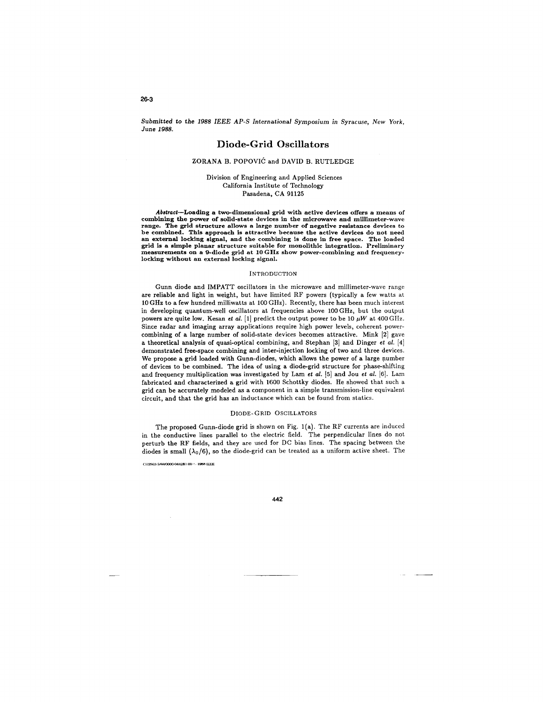*Submitted* to *the 1988 IEEE AP-S* International Symposium in Syracuse, *New York, June 1988.* 

# **Diode-Grid** Oscillators

## ZORANA B. POPOVIĆ and DAVID B. RUTLEDGE

Division of Engineering and Applied Sciences California Institute of Technology Pasadena, CA 91125

Abstract-Loading a two-dimensional grid with active devices offers a means of combining the power of solid-state devices in the microwave and millimeter-wave range. The grid structure allows a large number of negative resistance devices to be combined. This approach is attractive because the active devices do not need an external locking signal, and the combining is done in free space. The loaded grid is a simple planar structure suitable for monolithic integration. Preliminary measurements on a 9-diode grid at 10 GHz show power-combining and frequencylocking without an external locking signal.

#### INTRODUCTION

Gunn diode and IMPATT oscillators in the microwave and millimeter-wave range are reliable and light in weight, but have limited RF powers (typically a few watts at 10 GHz to a few hundred milliwatts at 100 GHz). Recently, there has been much interest in developing quantum-well oscillators at frequencies above 100 GHz, but the output powers are quite low. Kesan *et al.* [1] predict the output power to be 10  $\mu$ W at 400 GHz. Since radar and imaging array applications require high power levels, coherent powercombining of a large number of solid-state devices becomes attractive. Mink [2] gave a theoretical analysis of quasi-optical combining, and Stephan [3] and Dinger *et a/.* [4] demonstrated free-space combining and inter-injection locking of two and three devices. We propose a grid loaded with Gunn-diodes, which allows the power of a large number of devices to be combined. The idea of using a diode-grid structure for phase-shifting and frequency multiplication was investigated by Lam *et a/.* [5] and Jou *et a/.* [6]. Lam fabricated and characterized a grid with 1600 Schottky diodes. He showed that such a grid can be accurately modeled as a component in a simple transmission-line equivalent circuit, and that the grid has an inductance which can be found from statics.

#### DIODE-GRID OSCILLATORS

The proposed Gunn-diode grid is shown on Fig. 1(a). The RF currents are induced in the conductive lines parallel to the electric field. The perpendicular lines do not perturb the RF fields, and they are used for DC bias lines. The spacing between the diodes is small  $(\lambda_0/6)$ , so the diode-grid can be treated as a uniform active sheet. The

CH256:J·51AA/0Cl00-0442\$1 00 ,, , **198H** IEEE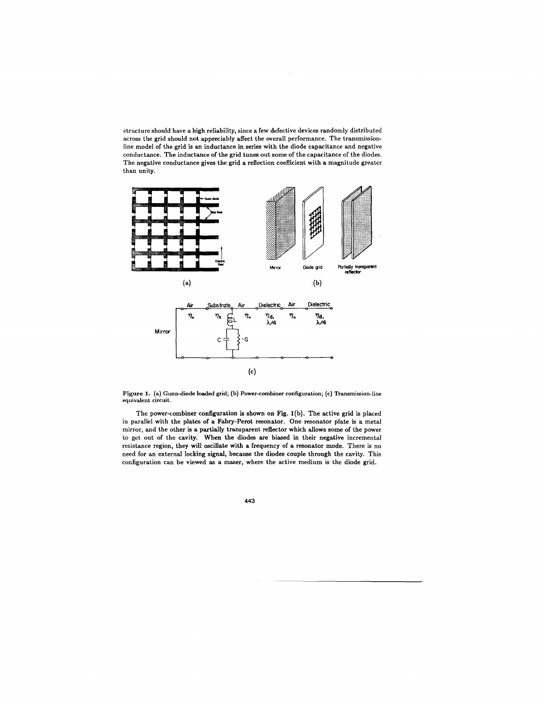structure should have a high reliability, since a few defective devices randomly distributed across the grid should not appreciably affect the overall performance. The transmissionline model of the grid is an inductance in series with the diode capacitance and negative conductance. The inductance of the grid tunes out some of the capacitance of the diodes. The negative conductance gives the grid a reflection coefficient with a magnitude greater than unity.



Figure 1. (a) Gunn-diode loaded grid; (b) Power-combiner configuration; (c) Transmission-line equivalent circuit.

The power-combiner configuration is shown on Fig. 1(b). The active grid is placed in parallel with the plates of a Fabry-Perot resonator. One resonator plate is a metal mirror, and the other is a partially transparent reflector which allows some of the power to get out of the cavity. When the diodes are biased in their negative incremental resistance region, they will oscillate with a frequency of a resonator mode. There is no need for an external locking signal, because the diodes couple through the cavity. This configuration can be viewed as a maser, where the active medium is the diode grid.

443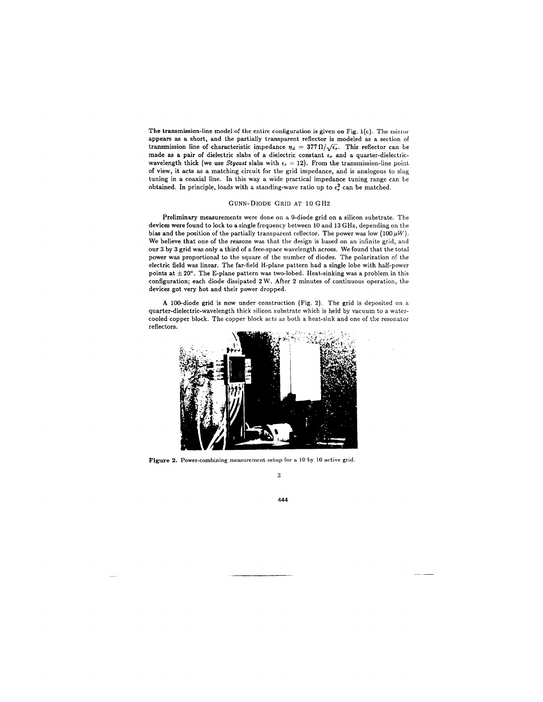The transmission-line model of the entire configuration is given on Fig.  $1(c)$ . The mirror appears as a short, and the partially transparent reflector is modeled as a section of transmission line of characteristic impedance  $\eta_d = 377 \Omega/\sqrt{\epsilon_r}$ . This reflector can be made as a pair of dielectric slabs of a dielectric constant  $\epsilon_r$  and a quarter-dielectricwavelength thick (we use *Stycast* slabs with  $\epsilon_r = 12$ ). From the transmission-line point of view, it acts as a matching circuit for the grid impedance, and is analogous to slug tuning in a coaxial line. In this way a wide practical impedance tuning range can be obtained. In principle, loads with a standing-wave ratio up to  $\epsilon_r^2$  can be matched.

## GUNN-DIODE GRID AT 10 GHz

Preliminary measurements were done on a 9-diode grid on a silicon substrate. The devices were found to lock to a single frequency between 10 and 13 GHz, depending on the bias and the position of the partially transparent reflector. The power was low  $(100 \,\mu W)$ . We believe that one of the reasons was that the design is based on an infinite grid, and our 3 by 3 grid was only a third of a free-space wavelength across. We found that the total power was proportional to the square of the number of diodes. The polarization of the electric field was linear. The far-field H-plane pattern had a single lobe with half-power points at  $\pm 20^{\circ}$ . The E-plane pattern was two-lobed. Heat-sinking was a problem in this configuration; each diode dissipated 2 W. After 2 minutes of continuous operation, the devices got very hot and their power dropped.

A 100-diode grid is now under construction (Fig. 2). The grid is deposited on a quarter-dielectric-wavelength thick silicon substrate which is held by vacuum to a watercooled copper block. The copper block acts as both a heat-sink and one of the resonator reflectors.



Figure 2. Power-combining measurement setup for a 10 by 10 active grid.

3

444